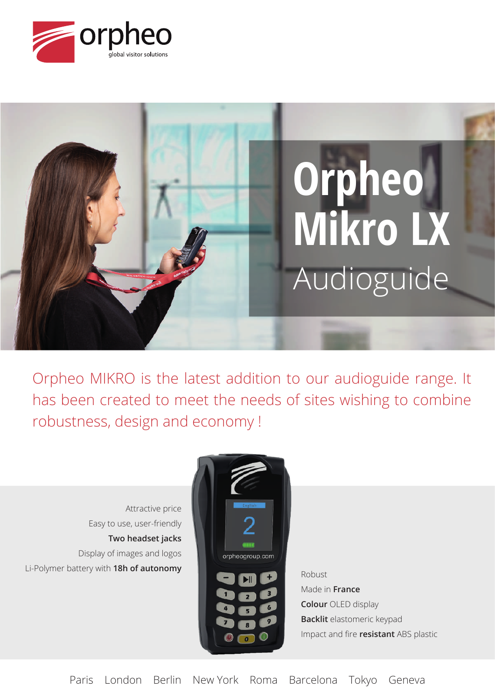



Orpheo MIKRO is the latest addition to our audioguide range. It has been created to meet the needs of sites wishing to combine robustness, design and economy !

Attractive price Easy to use, user-friendly **Two headset jacks** Display of images and logos Li-Polymer battery with **18h of autonomy** 



Made in **France Colour** OLED display **Backlit** elastomeric keypad Impact and fire **resistant** ABS plastic